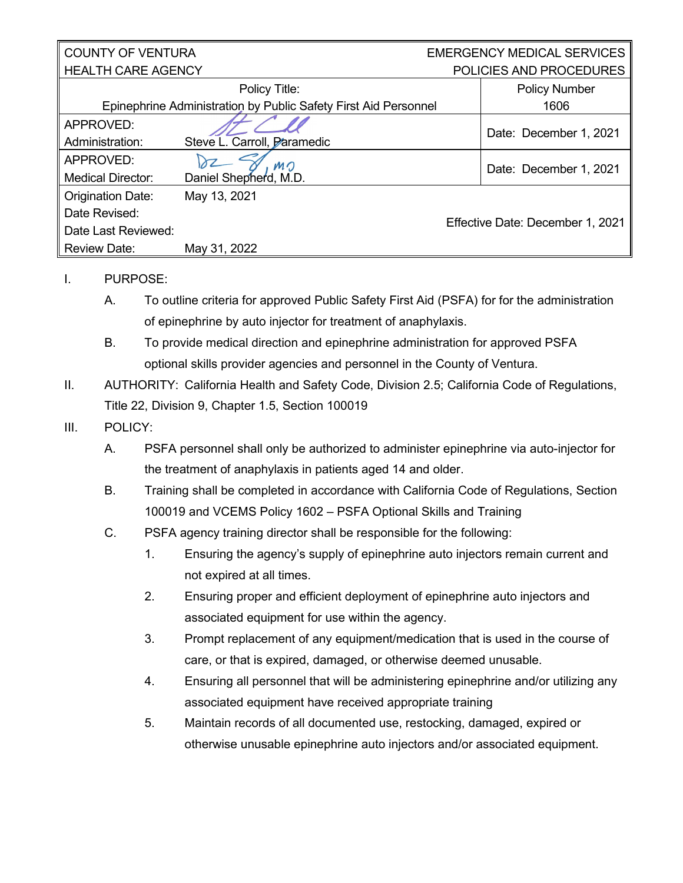## COUNTY OF VENTURA HEALTH CARE AGENCY

## EMERGENCY MEDICAL SERVICES POLICIES AND PROCEDURES

| NEAL IN UANE AUEINUT                                            |                             |  | PULIUIES AND PRUUEDURES          |
|-----------------------------------------------------------------|-----------------------------|--|----------------------------------|
|                                                                 | Policy Title:               |  | <b>Policy Number</b>             |
| Epinephrine Administration by Public Safety First Aid Personnel |                             |  | 1606                             |
| APPROVED:                                                       |                             |  | Date: December 1, 2021           |
| Administration:                                                 | Steve L. Carroll, Paramedic |  |                                  |
| APPROVED:                                                       | MO                          |  | Date: December 1, 2021           |
| <b>Medical Director:</b>                                        | Daniel Shepherd, M.D.       |  |                                  |
| Origination Date:                                               | May 13, 2021                |  |                                  |
| Date Revised:                                                   |                             |  | Effective Date: December 1, 2021 |
| Date Last Reviewed:                                             |                             |  |                                  |
| <b>Review Date:</b>                                             | May 31, 2022                |  |                                  |
|                                                                 |                             |  |                                  |

## I. PURPOSE:

- A. To outline criteria for approved Public Safety First Aid (PSFA) for for the administration of epinephrine by auto injector for treatment of anaphylaxis.
- B. To provide medical direction and epinephrine administration for approved PSFA optional skills provider agencies and personnel in the County of Ventura.
- II. AUTHORITY: California Health and Safety Code, Division 2.5; California Code of Regulations, Title 22, Division 9, Chapter 1.5, Section 100019
- III. POLICY:
	- A. PSFA personnel shall only be authorized to administer epinephrine via auto-injector for the treatment of anaphylaxis in patients aged 14 and older.
	- B. Training shall be completed in accordance with California Code of Regulations, Section 100019 and VCEMS Policy 1602 – PSFA Optional Skills and Training
	- C. PSFA agency training director shall be responsible for the following:
		- 1. Ensuring the agency's supply of epinephrine auto injectors remain current and not expired at all times.
		- 2. Ensuring proper and efficient deployment of epinephrine auto injectors and associated equipment for use within the agency.
		- 3. Prompt replacement of any equipment/medication that is used in the course of care, or that is expired, damaged, or otherwise deemed unusable.
		- 4. Ensuring all personnel that will be administering epinephrine and/or utilizing any associated equipment have received appropriate training
		- 5. Maintain records of all documented use, restocking, damaged, expired or otherwise unusable epinephrine auto injectors and/or associated equipment.